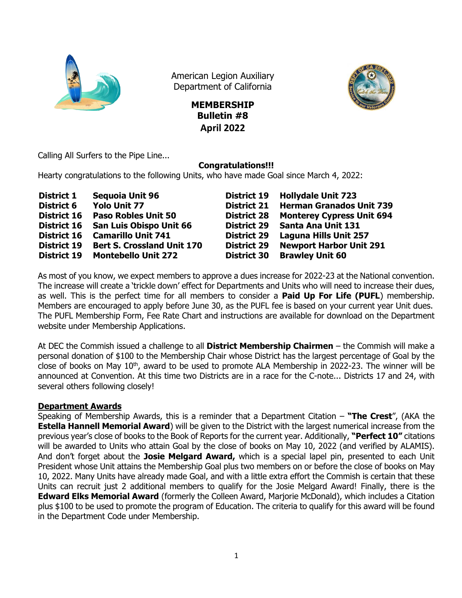

American Legion Auxiliary Department of California

> **MEMBERSHIP Bulletin #8 April 2022**



Calling All Surfers to the Pipe Line...

## **Congratulations!!!**

Hearty congratulations to the following Units, who have made Goal since March 4, 2022:

| <b>District 1</b>  | <b>Sequoia Unit 96</b>            | <b>District 19</b> | <b>Hollydale Unit 723</b>        |
|--------------------|-----------------------------------|--------------------|----------------------------------|
| <b>District 6</b>  | <b>Yolo Unit 77</b>               | <b>District 21</b> | <b>Herman Granados Unit 739</b>  |
| <b>District 16</b> | <b>Paso Robles Unit 50</b>        | <b>District 28</b> | <b>Monterey Cypress Unit 694</b> |
| <b>District 16</b> | <b>San Luis Obispo Unit 66</b>    | <b>District 29</b> | Santa Ana Unit 131               |
| <b>District 16</b> | <b>Camarillo Unit 741</b>         | <b>District 29</b> | <b>Laguna Hills Unit 257</b>     |
| <b>District 19</b> | <b>Bert S. Crossland Unit 170</b> | <b>District 29</b> | <b>Newport Harbor Unit 291</b>   |
| <b>District 19</b> | <b>Montebello Unit 272</b>        | <b>District 30</b> | <b>Brawley Unit 60</b>           |

As most of you know, we expect members to approve a dues increase for 2022-23 at the National convention. The increase will create a 'trickle down' effect for Departments and Units who will need to increase their dues, as well. This is the perfect time for all members to consider a **Paid Up For Life (PUFL**) membership. Members are encouraged to apply before June 30, as the PUFL fee is based on your current year Unit dues. The PUFL Membership Form, Fee Rate Chart and instructions are available for download on the Department website under Membership Applications.

At DEC the Commish issued a challenge to all **District Membership Chairmen** – the Commish will make a personal donation of \$100 to the Membership Chair whose District has the largest percentage of Goal by the close of books on May 10<sup>th</sup>, award to be used to promote ALA Membership in 2022-23. The winner will be announced at Convention. At this time two Districts are in a race for the C-note... Districts 17 and 24, with several others following closely!

## **Department Awards**

Speaking of Membership Awards, this is a reminder that a Department Citation – **"The Crest**", (AKA the **Estella Hannell Memorial Award**) will be given to the District with the largest numerical increase from the previous year's close of books to the Book of Reports for the current year. Additionally, **"Perfect 10"** citations will be awarded to Units who attain Goal by the close of books on May 10, 2022 (and verified by ALAMIS). And don't forget about the **Josie Melgard Award,** which is a special lapel pin, presented to each Unit President whose Unit attains the Membership Goal plus two members on or before the close of books on May 10, 2022. Many Units have already made Goal, and with a little extra effort the Commish is certain that these Units can recruit just 2 additional members to qualify for the Josie Melgard Award! Finally, there is the **Edward Elks Memorial Award** (formerly the Colleen Award, Marjorie McDonald), which includes a Citation plus \$100 to be used to promote the program of Education. The criteria to qualify for this award will be found in the Department Code under Membership.